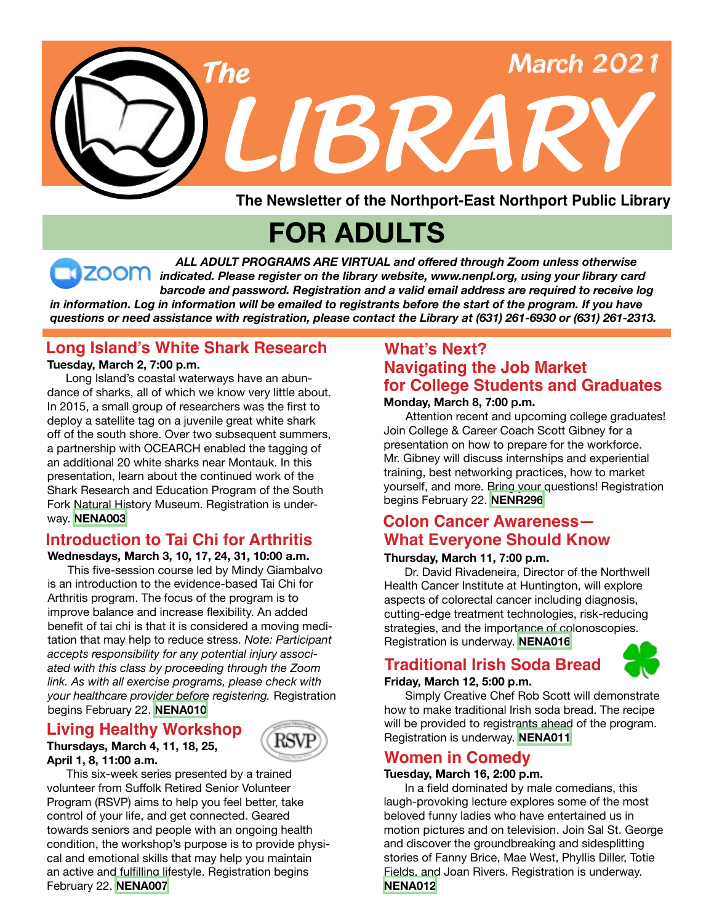

**The Newsletter of the Northport-East Northport Public Library**

# **FOR ADULTS**

 *ALL ADULT PROGRAMS ARE VIRTUAL and offered through Zoom unless otherwise indicated. Please register on the library website, www.nenpl.org, using your library card barcode and password. Registration and a valid email address are required to receive log* in information. Log in information will be emailed to registrants before the start of the program. If you have *questions or need assistance with registration, please contact the Library at (631) 261-6930 or (631) 261-2313.*

# **Long Island's White Shark Research**

 Long Island's coastal waterways have an abundance of sharks, all of which we know very little about. In 2015, a small group of researchers was the first to deploy a satellite tag on a juvenile great white shark off of the south shore. Over two subsequent summers, a partnership with OCEARCH enabled the tagging of an additional 20 white sharks near Montauk. In this presentation, learn about the continued work of the Shark Research and Education Program of the South Fork Natural History Museum. Registration is underway. **[NENA003](https://search.livebrary.com/record=g1102931~S43)**

# **Introduction to Tai Chi for Arthritis**

**Wednesdays, March 3, 10, 17, 24, 31, 10:00 a.m.** This five-session course led by Mindy Giambalvo is an introduction to the evidence-based Tai Chi for Arthritis program. The focus of the program is to improve balance and increase flexibility. An added benefit of tai chi is that it is considered a moving meditation that may help to reduce stress. *Note: Participant accepts responsibility for any potential injury associated with this class by proceeding through the Zoom link. As with all exercise programs, please check with your healthcare provider before registering.* Registration begins February 22. **[NENA010](https://search.livebrary.com/record=g1103142~S43)**

#### **Thursdays, March 4, 11, 18, 25, April 1, 8, 11:00 a.m. Living Healthy Workshop**



 This six-week series presented by a trained volunteer from Suffolk Retired Senior Volunteer Program (RSVP) aims to help you feel better, take control of your life, and get connected. Geared towards seniors and people with an ongoing health condition, the workshop's purpose is to provide physical and emotional skills that may help you maintain an active and fulfilling lifestyle. Registration begins February 22. **[NENA007](https://search.livebrary.com/record=g1102934~S43)**

# **What's Next? Navigating the Job Market Tuesday, March 2, 7:00 p.m. for College Students and Graduates**

**Monday, March 8, 7:00 p.m.** 

Attention recent and upcoming college graduates! Join College & Career Coach Scott Gibney for a presentation on how to prepare for the workforce. Mr. Gibney will discuss internships and experiential training, best networking practices, how to market yourself, and more. Bring your questions! Registration begins February 22. **[NENR296](https://search.livebrary.com/record=g1103130~S43)**

# **Colon Cancer Awareness— What Everyone Should Know**

#### **Thursday, March 11, 7:00 p.m.**

 Dr. David Rivadeneira, Director of the Northwell Health Cancer Institute at Huntington, will explore aspects of colorectal cancer including diagnosis, cutting-edge treatment technologies, risk-reducing strategies, and the importance of colonoscopies. Registration is underway. **[NENA016](https://search.livebrary.com/record=g1103191~S43)**

# **Traditional Irish Soda Bread**



#### **Friday, March 12, 5:00 p.m.**

Simply Creative Chef Rob Scott will demonstrate how to make traditional Irish soda bread. The recipe will be provided to registrants ahead of the program. Registration is underway. **[NENA011](https://search.livebrary.com/record=g1103193~S43)**

## **Women in Comedy**

#### **Tuesday, March 16, 2:00 p.m.**

In a field dominated by male comedians, this laugh-provoking lecture explores some of the most beloved funny ladies who have entertained us in motion pictures and on television. Join Sal St. George and discover the groundbreaking and sidesplitting stories of Fanny Brice, Mae West, Phyllis Diller, Totie Fields, and Joan Rivers. Registration is underway. **[NENA012](https://search.livebrary.com/record=g1103194~S43)**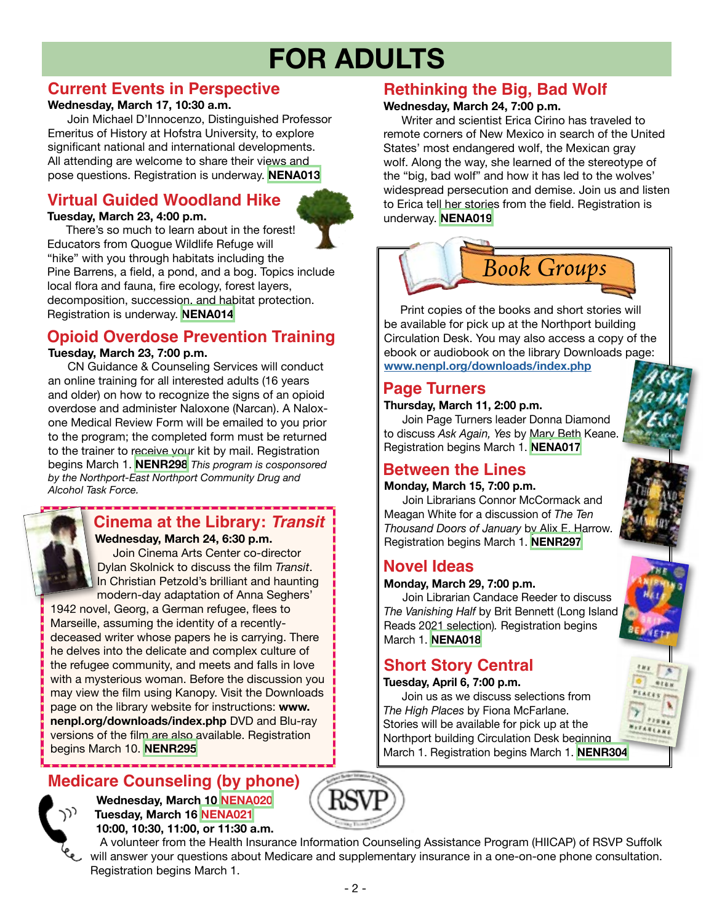# **FOR ADULTS**

## **Current Events in Perspective**

#### **Wednesday, March 17, 10:30 a.m.**

 Join Michael D'Innocenzo, Distinguished Professor Emeritus of History at Hofstra University, to explore significant national and international developments. All attending are welcome to share their views and pose questions. Registration is underway. **[NENA013](https://search.livebrary.com/record=g1103140~S43)**

# **Virtual Guided Woodland Hike**

#### **Tuesday, March 23, 4:00 p.m.**

 There's so much to learn about in the forest! Educators from Quogue Wildlife Refuge will "hike" with you through habitats including the Pine Barrens, a field, a pond, and a bog. Topics include local flora and fauna, fire ecology, forest layers, decomposition, succession, and habitat protection. Registration is underway. **[NENA014](https://search.livebrary.com/record=g1103195~S43)**

# **Opioid Overdose Prevention Training**

#### **Tuesday, March 23, 7:00 p.m.**

CN Guidance & Counseling Services will conduct an online training for all interested adults (16 years and older) on how to recognize the signs of an opioid overdose and administer Naloxone (Narcan). A Naloxone Medical Review Form will be emailed to you prior to the program; the completed form must be returned to the trainer to receive your kit by mail. Registration begins March 1. **[NENR298](https://search.livebrary.com/record=g1100361~S43)** *This program is cosponsored by the Northport-East Northport Community Drug and Alcohol Task Force.*

# **Cinema at the Library:** *Transit*

 **Wednesday, March 24, 6:30 p.m.** Join Cinema Arts Center co-director Dylan Skolnick to discuss the film *Transit*. In Christian Petzold's brilliant and haunting modern-day adaptation of Anna Seghers'

1942 novel, Georg, a German refugee, flees to Marseille, assuming the identity of a recentlydeceased writer whose papers he is carrying. There he delves into the delicate and complex culture of the refugee community, and meets and falls in love with a mysterious woman. Before the discussion you may view the film using Kanopy. Visit the Downloads page on the library website for instructions: **www. nenpl.org/downloads/index.php** DVD and Blu-ray versions of the film are also available. Registration begins March 10. **[NENR295](https://search.livebrary.com/record=g1100910~S43)**

# **Medicare Counseling (by phone) Wednesday, March 10 [NENA020](https://search.livebrary.com/record=g1103201~S43)**



 **Tuesday, March 16 [NENA021](https://search.livebrary.com/record=g1103207~S43) 10:00, 10:30, 11:00, or 11:30 a.m.**



# **Rethinking the Big, Bad Wolf**

#### **Wednesday, March 24, 7:00 p.m.**

Writer and scientist Erica Cirino has traveled to remote corners of New Mexico in search of the United States' most endangered wolf, the Mexican gray wolf. Along the way, she learned of the stereotype of the "big, bad wolf" and how it has led to the wolves' widespread persecution and demise. Join us and listen to Erica tell her stories from the field. Registration is underway. **[NENA019](https://search.livebrary.com/record=g1103197~S43)**



 Print copies of the books and short stories will be available for pick up at the Northport building Circulation Desk. You may also access a copy of the ebook or audiobook on the library Downloads page: **[www.nenpl.org/downloads/index.php](http://www.nenpl.org/downloads/index.php)**

## **Page Turners**

#### **Thursday, March 11, 2:00 p.m.**

Join Page Turners leader Donna Diamond to discuss *Ask Again, Yes* by Mary Beth Keane. Registration begins March 1. **[NENA017](https://search.livebrary.com/record=g1103198~S43)**

# **Between the Lines**

#### **Monday, March 15, 7:00 p.m.**

Join Librarians Connor McCormack and Meagan White for a discussion of *The Ten Thousand Doors of January* by Alix E. Harrow. Registration begins March 1. **[NENR297](https://search.livebrary.com/record=g1102389~S43)**

# **Novel Ideas**

#### **Monday, March 29, 7:00 p.m.**

**Join Librarian Candace Reeder to discuss** *The Vanishing Half* by Brit Bennett (Long Island Reads 2021 selection)*.* Registration begins March 1. **[NENA018](https://search.livebrary.com/record=g1103199~S43)**

# **Short Story Central**

#### **Tuesday, April 6, 7:00 p.m.**

Join us as we discuss selections from *The High Places* by Fiona McFarlane. Stories will be available for pick up at the Northport building Circulation Desk beginning March 1. Registration begins March 1. **[NENR304](https://search.livebrary.com/record=g1101010~S43)** 





 A volunteer from the Health Insurance Information Counseling Assistance Program (HIICAP) of RSVP Suffolk will answer your questions about Medicare and supplementary insurance in a one-on-one phone consultation. Registration begins March 1.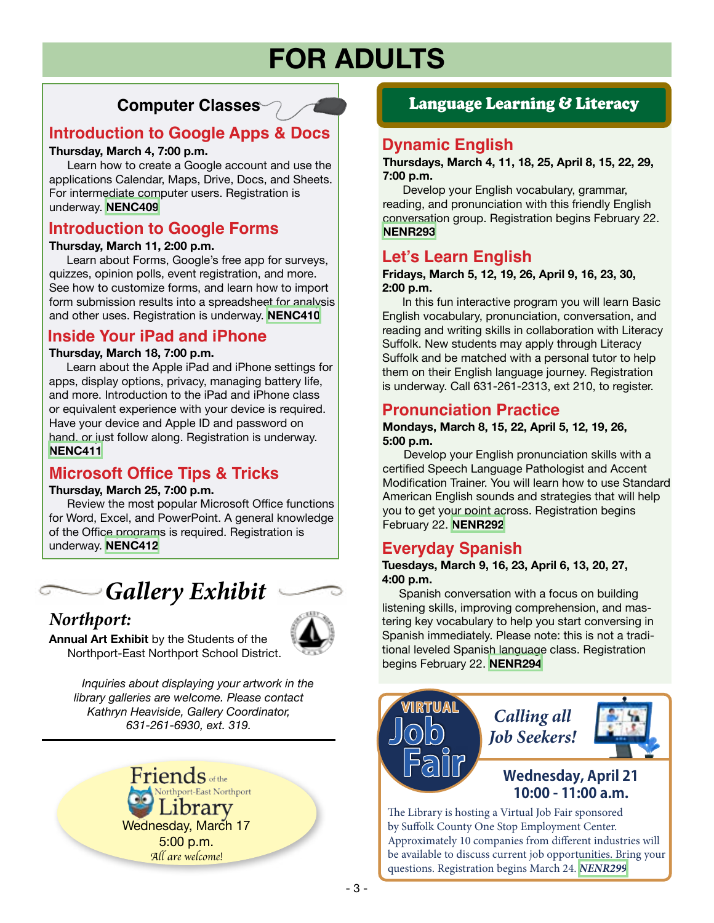# **FOR ADULTS**

# **Computer Classes**

# **Introduction to Google Apps & Docs**

#### **Thursday, March 4, 7:00 p.m.**

Learn how to create a Google account and use the applications Calendar, Maps, Drive, Docs, and Sheets. For intermediate computer users. Registration is underway. **[NENC409](https://search.livebrary.com/record=g1100160~S43)**

### **Introduction to Google Forms**

#### **Thursday, March 11, 2:00 p.m.**

Learn about Forms, Google's free app for surveys, quizzes, opinion polls, event registration, and more. See how to customize forms, and learn how to import form submission results into a spreadsheet for analysis and other uses. Registration is underway. **[NENC410](https://search.livebrary.com/record=g1102261~S43)** 

## **Inside Your iPad and iPhone**

#### **Thursday, March 18, 7:00 p.m.**

 Learn about the Apple iPad and iPhone settings for apps, display options, privacy, managing battery life, and more. Introduction to the iPad and iPhone class or equivalent experience with your device is required. Have your device and Apple ID and password on hand, or just follow along. Registration is underway. **[NENC411](https://search.livebrary.com/record=g1102262~S43)**

## **Microsoft Office Tips & Tricks**

#### **Thursday, March 25, 7:00 p.m.**

 Review the most popular Microsoft Office functions for Word, Excel, and PowerPoint. A general knowledge of the Office programs is required. Registration is underway. **[NENC412](https://search.livebrary.com/record=g1102263~S43)**

# *Gallery Exhibit*

# *Northport:*



**Annual Art Exhibit** by the Students of the Northport-East Northport School District.

> *Inquiries about displaying your artwork in the library galleries are welcome. Please contact Kathryn Heaviside, Gallery Coordinator, 631-261-6930, ext. 319.*



### Language Learning & Literacy

## **Dynamic English**

**Thursdays, March 4, 11, 18, 25, April 8, 15, 22, 29, 7:00 p.m.**

Develop your English vocabulary, grammar, reading, and pronunciation with this friendly English conversation group. Registration begins February 22. **[NENR293](https://search.livebrary.com/record=g1099946~S43)**

# **Let's Learn English**

#### **Fridays, March 5, 12, 19, 26, April 9, 16, 23, 30, 2:00 p.m.**

In this fun interactive program you will learn Basic English vocabulary, pronunciation, conversation, and reading and writing skills in collaboration with Literacy Suffolk. New students may apply through Literacy Suffolk and be matched with a personal tutor to help them on their English language journey. Registration is underway. Call 631-261-2313, ext 210, to register.

### **Pronunciation Practice**

#### **Mondays, March 8, 15, 22, April 5, 12, 19, 26, 5:00 p.m.**

Develop your English pronunciation skills with a certified Speech Language Pathologist and Accent Modification Trainer. You will learn how to use Standard American English sounds and strategies that will help you to get your point across. Registration begins February 22. **[NENR292](https://search.livebrary.com/record=g1101911~S43)**

## **Everyday Spanish**

#### **Tuesdays, March 9, 16, 23, April 6, 13, 20, 27, 4:00 p.m.**

Spanish conversation with a focus on building listening skills, improving comprehension, and mastering key vocabulary to help you start conversing in Spanish immediately. Please note: this is not a traditional leveled Spanish language class. Registration begins February 22. **[NENR294](https://search.livebrary.com/record=g1099952~S43)**



The Library is hosting a Virtual Job Fair sponsored by Suffolk County One Stop Employment Center. Approximately 10 companies from different industries will be available to discuss current job opportunities. Bring your questions. Registration begins March 24. *[NENR299](https://search.livebrary.com/record=g1103351~S43)*

- 3 -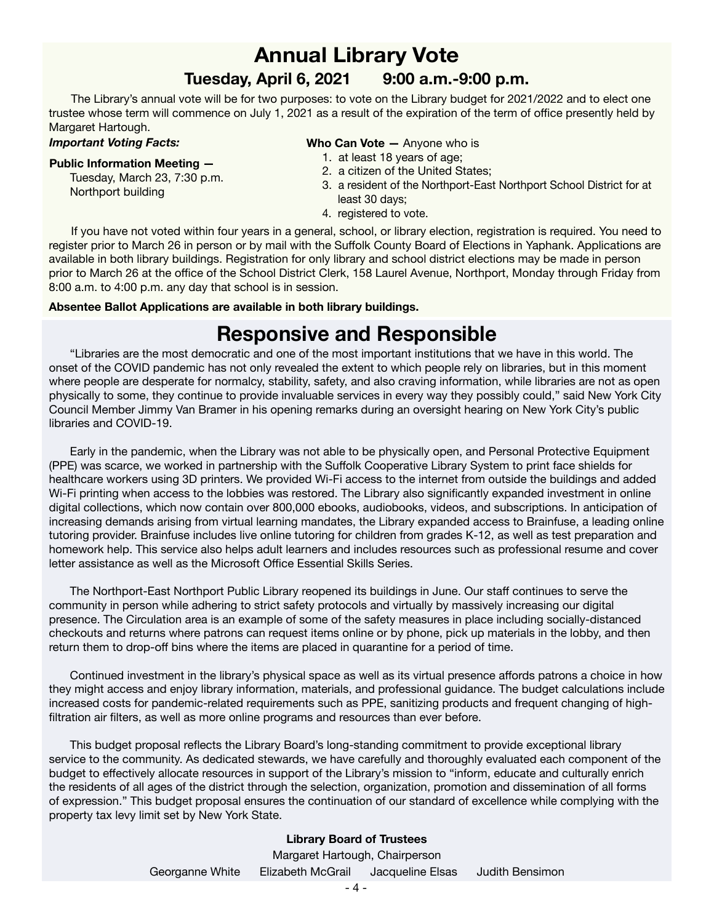# **Annual Library Vote**

### **Tuesday, April 6, 2021 9:00 a.m.-9:00 p.m.**

 The Library's annual vote will be for two purposes: to vote on the Library budget for 2021/2022 and to elect one trustee whose term will commence on July 1, 2021 as a result of the expiration of the term of office presently held by Margaret Hartough.

#### *Important Voting Facts:*

#### **Public Information Meeting —**

 Tuesday, March 23, 7:30 p.m. Northport building

#### **Who Can Vote —** Anyone who is

- 1. at least 18 years of age;
- 2. a citizen of the United States;
- 3. a resident of the Northport-East Northport School District for at least 30 days;
- 4. registered to vote.

 If you have not voted within four years in a general, school, or library election, registration is required. You need to register prior to March 26 in person or by mail with the Suffolk County Board of Elections in Yaphank. Applications are available in both library buildings. Registration for only library and school district elections may be made in person prior to March 26 at the office of the School District Clerk, 158 Laurel Avenue, Northport, Monday through Friday from 8:00 a.m. to 4:00 p.m. any day that school is in session.

#### **Absentee Ballot Applications are available in both library buildings.**

# **Responsive and Responsible**

"Libraries are the most democratic and one of the most important institutions that we have in this world. The onset of the COVID pandemic has not only revealed the extent to which people rely on libraries, but in this moment where people are desperate for normalcy, stability, safety, and also craving information, while libraries are not as open physically to some, they continue to provide invaluable services in every way they possibly could," said New York City Council Member Jimmy Van Bramer in his opening remarks during an oversight hearing on New York City's public libraries and COVID-19.

**English**  homework help. This service also helps adult learners and includes resources such as professional resume and cover Early in the pandemic, when the Library was not able to be physically open, and Personal Protective Equipment (PPE) was scarce, we worked in partnership with the Suffolk Cooperative Library System to print face shields for healthcare workers using 3D printers. We provided Wi-Fi access to the internet from outside the buildings and added Wi-Fi printing when access to the lobbies was restored. The Library also significantly expanded investment in online digital collections, which now contain over 800,000 ebooks, audiobooks, videos, and subscriptions. In anticipation of increasing demands arising from virtual learning mandates, the Library expanded access to Brainfuse, a leading online tutoring provider. Brainfuse includes live online tutoring for children from grades K-12, as well as test preparation and letter assistance as well as the Microsoft Office Essential Skills Series.

**Learning** The Northport-East Northport Public Library reopened its buildings in June. Our staff continues to serve the community in person while adhering to strict safety protocols and virtually by massively increasing our digital presence. The Circulation area is an example of some of the safety measures in place including socially-distanced checkouts and returns where patrons can request items online or by phone, pick up materials in the lobby, and then return them to drop-off bins where the items are placed in quarantine for a period of time.

Continued investment in the library's physical space as well as its virtual presence affords patrons a choice in how they might access and enjoy library information, materials, and professional guidance. The budget calculations include increased costs for pandemic-related requirements such as PPE, sanitizing products and frequent changing of highfiltration air filters, as well as more online programs and resources than ever before.

This budget proposal reflects the Library Board's long-standing commitment to provide exceptional library service to the community. As dedicated stewards, we have carefully and thoroughly evaluated each component of the budget to effectively allocate resources in support of the Library's mission to "inform, educate and culturally enrich the residents of all ages of the district through the selection, organization, promotion and dissemination of all forms of expression." This budget proposal ensures the continuation of our standard of excellence while complying with the property tax levy limit set by New York State.

#### **Library Board of Trustees**

Georganne White Elizabeth McGrail Jacqueline Elsas Judith Bensimon Margaret Hartough, Chairperson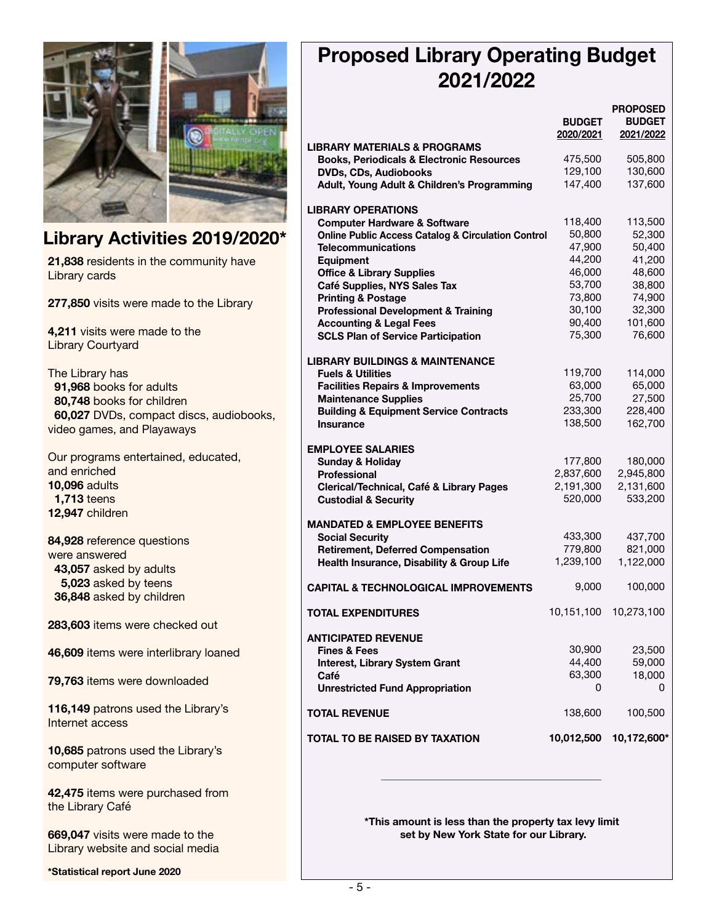

# **Library Activities 2019/2020\***

**21,838** residents in the community have Library cards

**277,850** visits were made to the Library

**4,211** visits were made to the Library Courtyard

The Library has  **91,968** books for adults  **80,748** books for children  **60,027** DVDs, compact discs, audiobooks, video games, and Playaways

Our programs entertained, educated, and enriched **10,096** adults  **1,713** teens **12,947** children

**84,928** reference questions were answered  **43,057** asked by adults  **5,023** asked by teens  **36,848** asked by children

**283,603** items were checked out

**46,609** items were interlibrary loaned

**79,763** items were downloaded

**116,149** patrons used the Library's Internet access

**10,685** patrons used the Library's computer software

**42,475** items were purchased from the Library Café

**669,047** visits were made to the Library website and social media

**\*Statistical report June 2020**

# **Proposed Library Operating Budget 2021/2022**

|                                                                                      | <b>BUDGET</b>    | <b>PROPOSED</b><br><b>BUDGET</b> |
|--------------------------------------------------------------------------------------|------------------|----------------------------------|
|                                                                                      | 2020/2021        | 2021/2022                        |
| <b>LIBRARY MATERIALS &amp; PROGRAMS</b>                                              | 475,500          | 505,800                          |
| <b>Books, Periodicals &amp; Electronic Resources</b><br><b>DVDs, CDs, Audiobooks</b> | 129,100          | 130,600                          |
| Adult, Young Adult & Children's Programming                                          | 147,400          | 137,600                          |
|                                                                                      |                  |                                  |
| <b>LIBRARY OPERATIONS</b>                                                            |                  |                                  |
| <b>Computer Hardware &amp; Software</b>                                              | 118,400          | 113,500                          |
| <b>Online Public Access Catalog &amp; Circulation Control</b>                        | 50,800           | 52,300                           |
| <b>Telecommunications</b>                                                            | 47,900           | 50,400                           |
| <b>Equipment</b>                                                                     | 44,200           | 41,200                           |
| <b>Office &amp; Library Supplies</b>                                                 | 46,000           | 48,600                           |
| Café Supplies, NYS Sales Tax                                                         | 53,700           | 38,800                           |
| <b>Printing &amp; Postage</b>                                                        | 73,800<br>30,100 | 74,900<br>32,300                 |
| <b>Professional Development &amp; Training</b><br><b>Accounting &amp; Legal Fees</b> | 90,400           | 101,600                          |
| <b>SCLS Plan of Service Participation</b>                                            | 75,300           | 76,600                           |
|                                                                                      |                  |                                  |
| <b>LIBRARY BUILDINGS &amp; MAINTENANCE</b>                                           |                  |                                  |
| <b>Fuels &amp; Utilities</b>                                                         | 119,700          | 114,000                          |
| <b>Facilities Repairs &amp; Improvements</b>                                         | 63,000           | 65,000                           |
| <b>Maintenance Supplies</b>                                                          | 25,700           | 27,500                           |
| <b>Building &amp; Equipment Service Contracts</b>                                    | 233,300          | 228,400                          |
| <b>Insurance</b>                                                                     | 138,500          | 162,700                          |
|                                                                                      |                  |                                  |
| <b>EMPLOYEE SALARIES</b>                                                             |                  |                                  |
| <b>Sunday &amp; Holiday</b>                                                          | 177,800          | 180,000                          |
| <b>Professional</b>                                                                  | 2,837,600        | 2,945,800                        |
| Clerical/Technical, Café & Library Pages                                             | 2,191,300        | 2,131,600                        |
| <b>Custodial &amp; Security</b>                                                      | 520,000          | 533,200                          |
| <b>MANDATED &amp; EMPLOYEE BENEFITS</b>                                              |                  |                                  |
| <b>Social Security</b>                                                               | 433,300          | 437,700                          |
| <b>Retirement, Deferred Compensation</b>                                             | 779,800          | 821,000                          |
| Health Insurance, Disability & Group Life                                            | 1,239,100        | 1,122,000                        |
|                                                                                      |                  |                                  |
| <b>CAPITAL &amp; TECHNOLOGICAL IMPROVEMENTS</b>                                      | 9,000            | 100,000                          |
| TOTAL EXPENDITURES                                                                   | 10,151,100       | 10,273,100                       |
|                                                                                      |                  |                                  |
| <b>ANTICIPATED REVENUE</b>                                                           |                  |                                  |
| <b>Fines &amp; Fees</b>                                                              | 30,900           | 23,500                           |
| <b>Interest, Library System Grant</b>                                                | 44,400           | 59,000                           |
| Café                                                                                 | 63,300           | 18,000                           |
| <b>Unrestricted Fund Appropriation</b>                                               | 0                | 0                                |
| <b>TOTAL REVENUE</b>                                                                 | 138,600          | 100,500                          |
|                                                                                      |                  |                                  |
| TOTAL TO BE RAISED BY TAXATION                                                       | 10,012,500       | 10,172,600*                      |
|                                                                                      |                  |                                  |

 **\*This amount is less than the property tax levy limit set by New York State for our Library.**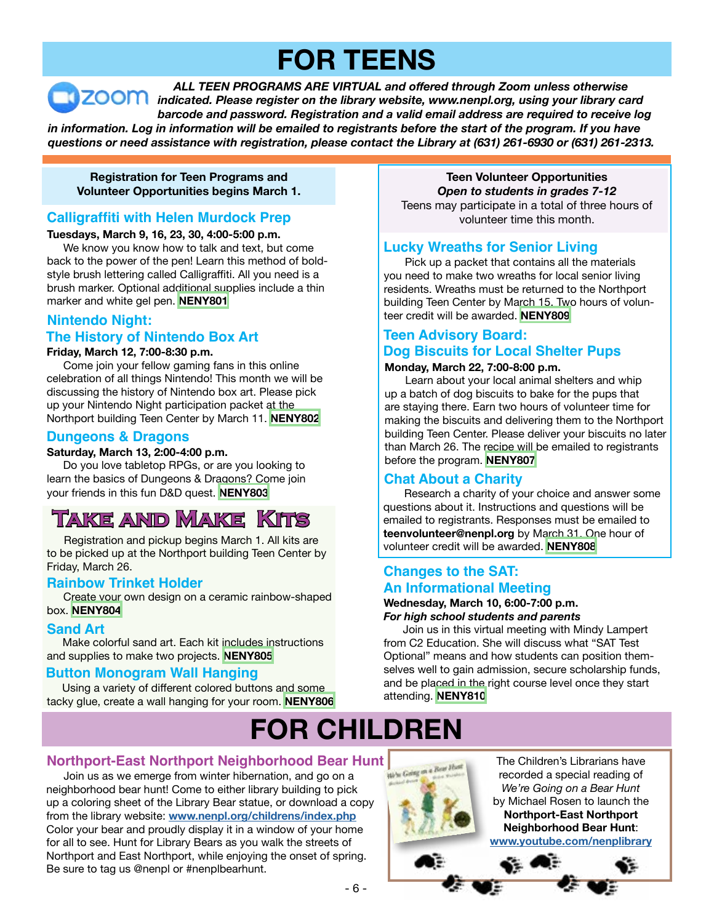# **FOR TEENS**

 *ALL TEEN PROGRAMS ARE VIRTUAL and offered through Zoom unless otherwise indicated. Please register on the library website, www.nenpl.org, using your library card barcode and password. Registration and a valid email address are required to receive log* in information. Log in information will be emailed to registrants before the start of the program. If you have *questions or need assistance with registration, please contact the Library at (631) 261-6930 or (631) 261-2313.*

**Registration for Teen Programs and Volunteer Opportunities begins March 1.**

#### **Calligraffiti with Helen Murdock Prep**

#### **Tuesdays, March 9, 16, 23, 30, 4:00-5:00 p.m.**

 We know you know how to talk and text, but come back to the power of the pen! Learn this method of boldstyle brush lettering called Calligraffiti. All you need is a brush marker. Optional additional supplies include a thin marker and white gel pen. **[NENY801](https://search.livebrary.com/record=g1103570~S43)**

#### **Nintendo Night:**

#### **The History of Nintendo Box Art**

#### **Friday, March 12, 7:00-8:30 p.m.**

 Come join your fellow gaming fans in this online celebration of all things Nintendo! This month we will be discussing the history of Nintendo box art. Please pick up your Nintendo Night participation packet at the Northport building Teen Center by March 11. **[NENY802](https://search.livebrary.com/record=g1103571~S43)**

#### **Dungeons & Dragons**

#### **Saturday, March 13, 2:00-4:00 p.m.**

 Do you love tabletop RPGs, or are you looking to learn the basics of Dungeons & Dragons? Come join your friends in this fun D&D quest. **[NENY803](https://search.livebrary.com/record=g1103572~S43)**

# **Take and Make Kits**

 Registration and pickup begins March 1. All kits are to be picked up at the Northport building Teen Center by Friday, March 26.

#### **Rainbow Trinket Holder**

 Create your own design on a ceramic rainbow-shaped box. **[NENY804](https://search.livebrary.com/record=g1103573~S43)**

#### **Sand Art**

 Make colorful sand art. Each kit includes instructions and supplies to make two projects. **[NENY805](https://search.livebrary.com/record=g1103574~S43)**

#### **Button Monogram Wall Hanging**

 Using a variety of different colored buttons and some tacky glue, create a wall hanging for your room. **[NENY806](https://search.livebrary.com/record=g1103575~S43)**

**Teen Volunteer Opportunities** *Open to students in grades 7-12* Teens may participate in a total of three hours of volunteer time this month.

#### **Lucky Wreaths for Senior Living**

Pick up a packet that contains all the materials you need to make two wreaths for local senior living residents. Wreaths must be returned to the Northport building Teen Center by March 15. Two hours of volunteer credit will be awarded. **[NENY809](https://search.livebrary.com/record=g1103579~S43)**

# **Teen Advisory Board:**

## **Dog Biscuits for Local Shelter Pups**

#### **Monday, March 22, 7:00-8:00 p.m.**

 Learn about your local animal shelters and whip up a batch of dog biscuits to bake for the pups that are staying there. Earn two hours of volunteer time for making the biscuits and delivering them to the Northport building Teen Center. Please deliver your biscuits no later than March 26. The recipe will be emailed to registrants before the program. **[NENY807](https://search.livebrary.com/record=g1103576~S43)**

#### **Chat About a Charity**

Research a charity of your choice and answer some questions about it. Instructions and questions will be emailed to registrants. Responses must be emailed to **teenvolunteer@nenpl.org** by March 31. One hour of volunteer credit will be awarded. **[NENY808](https://search.livebrary.com/record=g1103578~S43)**

#### **Changes to the SAT: An Informational Meeting**

#### **Wednesday, March 10, 6:00-7:00 p.m.** *For high school students and parents*

 Join us in this virtual meeting with Mindy Lampert from C2 Education. She will discuss what "SAT Test Optional" means and how students can position themselves well to gain admission, secure scholarship funds, and be placed in the right course level once they start attending. **[NENY810](https://search.livebrary.com/record=g1103582~S43)**

# **FOR CHILDREN**

#### **Northport-East Northport Neighborhood Bear Hunt**

Join us as we emerge from winter hibernation, and go on a neighborhood bear hunt! Come to either library building to pick up a coloring sheet of the Library Bear statue, or download a copy from the library website: **[www.nenpl.org/childrens/index.php](http://www.nenpl.org/childrens/index.php)** Color your bear and proudly display it in a window of your home for all to see. Hunt for Library Bears as you walk the streets of Northport and East Northport, while enjoying the onset of spring. Be sure to tag us @nenpl or #nenplbearhunt.

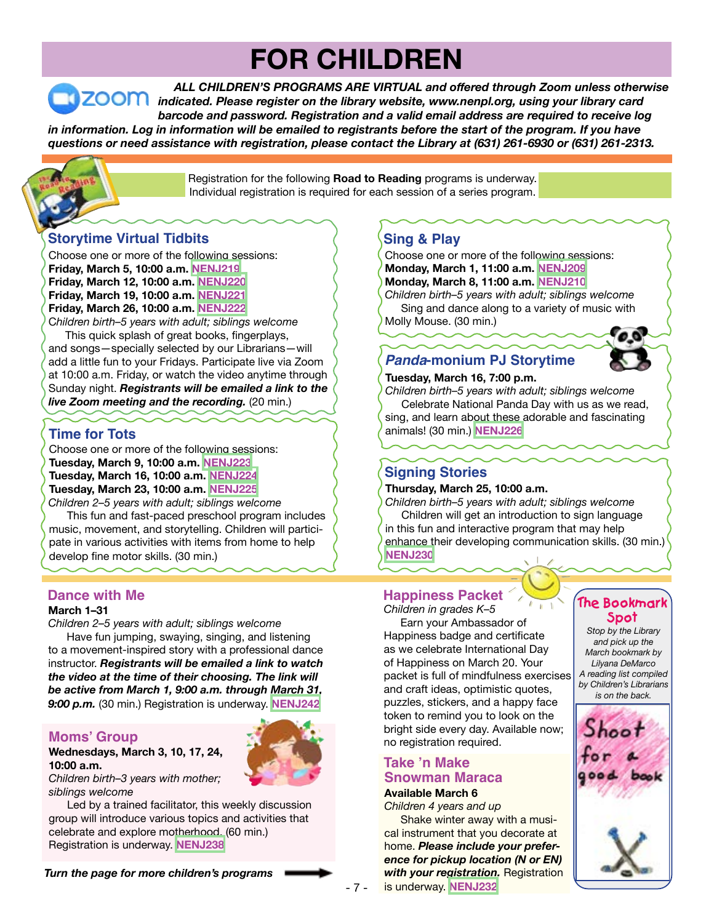# **FOR CHILDREN**

 *ALL CHILDREN'S PROGRAMS ARE VIRTUAL and offered through Zoom unless otherwise indicated. Please register on the library website, www.nenpl.org, using your library card barcode and password. Registration and a valid email address are required to receive log* in information. Log in information will be emailed to registrants before the start of the program. If you have *questions or need assistance with registration, please contact the Library at (631) 261-6930 or (631) 261-2313.*

> Registration for the following **Road to Reading** programs is underway. Individual registration is required for each session of a series program.

### **Storytime Virtual Tidbits**

Choose one or more of the following sessions: **Friday, March 5, 10:00 a.m. [NENJ219](https://search.livebrary.com/record=g1102897~S43) Friday, March 12, 10:00 a.m. [NENJ220](https://search.livebrary.com/record=g1102899~S43) Friday, March 19, 10:00 a.m. [NENJ221](https://search.livebrary.com/record=g1102903~S43) Friday, March 26, 10:00 a.m. [NENJ222](https://search.livebrary.com/record=g1102905~S43)** C*hildren birth–5 years with adult; siblings welcome*

 This quick splash of great books, fingerplays, and songs—specially selected by our Librarians—will add a little fun to your Fridays. Participate live via Zoom at 10:00 a.m. Friday, or watch the video anytime through Sunday night. *Registrants will be emailed a link to the live Zoom meeting and the recording.* (20 min.)

### **Time for Tots**

Choose one or more of the following sessions: **Tuesday, March 9, 10:00 a.m. [NENJ223](https://search.livebrary.com/record=g1102945~S43) Tuesday, March 16, 10:00 a.m. [NENJ224](https://search.livebrary.com/record=g1102946~S43) Tuesday, March 23, 10:00 a.m. [NENJ225](https://search.livebrary.com/record=g1102949~S43)** *Children 2–5 years with adult; siblings welcome*

 This fun and fast-paced preschool program includes music, movement, and storytelling. Children will participate in various activities with items from home to help develop fine motor skills. (30 min.)

#### **Dance with Me**

#### **March 1–31**

*Children 2–5 years with adult; siblings welcome*

 Have fun jumping, swaying, singing, and listening to a movement-inspired story with a professional dance instructor. *Registrants will be emailed a link to watch the video at the time of their choosing. The link will be active from March 1, 9:00 a.m. through March 31, 9:00 p.m.* (30 min.) Registration is underway. **[NENJ242](https://search.livebrary.com/record=g1102893~S43)**

#### **Moms' Group**

#### **Wednesdays, March 3, 10, 17, 24, 10:00 a.m.**

*Children birth–3 years with mother; siblings welcome*

 Led by a trained facilitator, this weekly discussion group will introduce various topics and activities that celebrate and explore motherhood. (60 min.) Registration is underway. **[NENJ238](https://search.livebrary.com/record=g1102979~S43)**

*Turn the page for more children's programs*

# **Sing & Play**

Choose one or more of the following sessions: **Monday, March 1, 11:00 a.m. [NENJ209](https://search.livebrary.com/record=g1102512~S43) Monday, March 8, 11:00 a.m. [NENJ210](https://search.livebrary.com/record=g1102513~S43)** *Children birth–5 years with adult; siblings welcome* Sing and dance along to a variety of music with Molly Mouse. (30 min.)

# *Panda***-monium PJ Storytime**



# **Tuesday, March 16, 7:00 p.m.**

*Children birth–5 years with adult; siblings welcome* Celebrate National Panda Day with us as we read, sing, and learn about these adorable and fascinating animals! (30 min.) **[NENJ226](https://search.livebrary.com/record=g1102906~S43)**

#### **Signing Stories**

#### **Thursday, March 25, 10:00 a.m.**

*Children birth–5 years with adult; siblings welcome* Children will get an introduction to sign language in this fun and interactive program that may help enhance their developing communication skills. (30 min.) **[NENJ230](https://search.livebrary.com/record=g1102954~S43)**

# **Happiness Packet**

*Children in grades K–5*

 Earn your Ambassador of Happiness badge and certificate as we celebrate International Day of Happiness on March 20. Your packet is full of mindfulness exercises and craft ideas, optimistic quotes, puzzles, stickers, and a happy face token to remind you to look on the bright side every day. Available now; no registration required.

### **Take 'n Make Snowman Maraca**

#### **Available March 6** *Children 4 years and up*

Shake winter away with a musical instrument that you decorate at home. *Please include your preference for pickup location (N or EN) with your registration.* Registration is underway. **[NENJ232](https://search.livebrary.com/record=g1102752~S43)**

#### **The Bookmark Spot**

*Stop by the Library and pick up the March bookmark by Lilyana DeMarco A reading list compiled by Children's Librarians is on the back.*



- 7 -